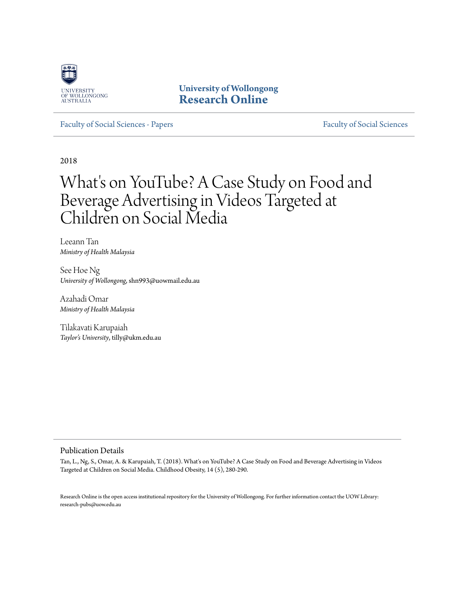

**University of Wollongong [Research Online](https://ro.uow.edu.au)**

[Faculty of Social Sciences - Papers](https://ro.uow.edu.au/sspapers) [Faculty of Social Sciences](https://ro.uow.edu.au/ss)

2018

# What's on YouTube? A Case Study on Food and Beverage Advertising in Videos Targeted at Children on Social Media

Leeann Tan *Ministry of Health Malaysia*

See Hoe Ng *University of Wollongong*, shn993@uowmail.edu.au

Azahadi Omar *Ministry of Health Malaysia*

Tilakavati Karupaiah *Taylor's University*, tilly@ukm.edu.au

#### Publication Details

Tan, L., Ng, S., Omar, A. & Karupaiah, T. (2018). What's on YouTube? A Case Study on Food and Beverage Advertising in Videos Targeted at Children on Social Media. Childhood Obesity, 14 (5), 280-290.

Research Online is the open access institutional repository for the University of Wollongong. For further information contact the UOW Library: research-pubs@uow.edu.au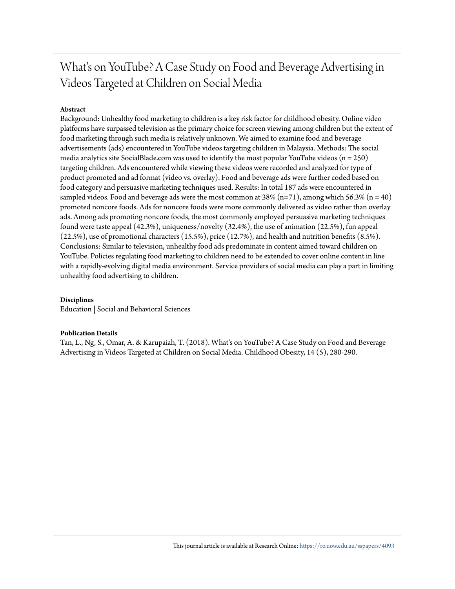## What's on YouTube? A Case Study on Food and Beverage Advertising in Videos Targeted at Children on Social Media

### **Abstract**

Background: Unhealthy food marketing to children is a key risk factor for childhood obesity. Online video platforms have surpassed television as the primary choice for screen viewing among children but the extent of food marketing through such media is relatively unknown. We aimed to examine food and beverage advertisements (ads) encountered in YouTube videos targeting children in Malaysia. Methods: The social media analytics site SocialBlade.com was used to identify the most popular YouTube videos ( $n = 250$ ) targeting children. Ads encountered while viewing these videos were recorded and analyzed for type of product promoted and ad format (video vs. overlay). Food and beverage ads were further coded based on food category and persuasive marketing techniques used. Results: In total 187 ads were encountered in sampled videos. Food and beverage ads were the most common at 38% (n=71), among which 56.3% (n = 40) promoted noncore foods. Ads for noncore foods were more commonly delivered as video rather than overlay ads. Among ads promoting noncore foods, the most commonly employed persuasive marketing techniques found were taste appeal (42.3%), uniqueness/novelty (32.4%), the use of animation (22.5%), fun appeal (22.5%), use of promotional characters (15.5%), price (12.7%), and health and nutrition benefits (8.5%). Conclusions: Similar to television, unhealthy food ads predominate in content aimed toward children on YouTube. Policies regulating food marketing to children need to be extended to cover online content in line with a rapidly-evolving digital media environment. Service providers of social media can play a part in limiting unhealthy food advertising to children.

#### **Disciplines**

Education | Social and Behavioral Sciences

#### **Publication Details**

Tan, L., Ng, S., Omar, A. & Karupaiah, T. (2018). What's on YouTube? A Case Study on Food and Beverage Advertising in Videos Targeted at Children on Social Media. Childhood Obesity, 14 (5), 280-290.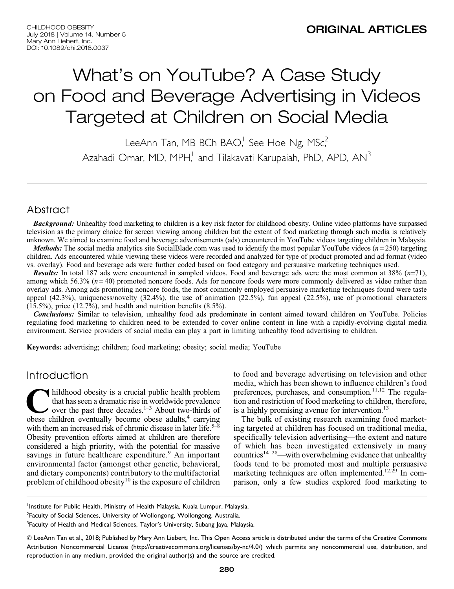# What's on YouTube? A Case Study on Food and Beverage Advertising in Videos Targeted at Children on Social Media

LeeAnn Tan, MB BCh BAO,<sup>1</sup> See Hoe Ng, MSc,<sup>2</sup> Azahadi Omar, MD, MPH,<sup>1</sup> and Tilakavati Karupaiah, PhD, APD, AN<sup>3</sup>

## Abstract

**Background:** Unhealthy food marketing to children is a key risk factor for childhood obesity. Online video platforms have surpassed television as the primary choice for screen viewing among children but the extent of food marketing through such media is relatively unknown. We aimed to examine food and beverage advertisements (ads) encountered in YouTube videos targeting children in Malaysia.

*Methods:* The social media analytics site SocialBlade.com was used to identify the most popular YouTube videos  $(n=250)$  targeting children. Ads encountered while viewing these videos were recorded and analyzed for type of product promoted and ad format (video vs. overlay). Food and beverage ads were further coded based on food category and persuasive marketing techniques used.

**Results:** In total 187 ads were encountered in sampled videos. Food and beverage ads were the most common at 38%  $(n=71)$ , among which 56.3%  $(n=40)$  promoted noncore foods. Ads for noncore foods were more commonly delivered as video rather than overlay ads. Among ads promoting noncore foods, the most commonly employed persuasive marketing techniques found were taste appeal  $(42.3\%)$ , uniqueness/novelty  $(32.4\%)$ , the use of animation  $(22.5\%)$ , fun appeal  $(22.5\%)$ , use of promotional characters  $(15.5\%)$ , price  $(12.7\%)$ , and health and nutrition benefits  $(8.5\%)$ .

Conclusions: Similar to television, unhealthy food ads predominate in content aimed toward children on YouTube. Policies regulating food marketing to children need to be extended to cover online content in line with a rapidly-evolving digital media environment. Service providers of social media can play a part in limiting unhealthy food advertising to children.

Keywords: advertising; children; food marketing; obesity; social media; YouTube

## Introduction

hildhood obesity is a crucial public health problem<br>that has seen a dramatic rise in worldwide prevalence<br>over the past three decades.<sup>1-3</sup> About two-thirds of<br>obese children eventually become obese adults.<sup>4</sup> carrying that has seen a dramatic rise in worldwide prevalence over the past three decades.<sup>1–3</sup> About two-thirds of obese children eventually become obese adults,<sup>4</sup> carrying with them an increased risk of chronic disease in later life.<sup>5–8</sup> Obesity prevention efforts aimed at children are therefore considered a high priority, with the potential for massive savings in future healthcare expenditure.<sup>9</sup> An important environmental factor (amongst other genetic, behavioral, and dietary components) contributory to the multifactorial problem of childhood obesity<sup>10</sup> is the exposure of children

to food and beverage advertising on television and other media, which has been shown to influence children's food preferences, purchases, and consumption. $11,12$  The regulation and restriction of food marketing to children, therefore, is a highly promising avenue for intervention.<sup>13</sup>

The bulk of existing research examining food marketing targeted at children has focused on traditional media, specifically television advertising—the extent and nature of which has been investigated extensively in many countries<sup>14–28</sup>—with overwhelming evidence that unhealthy foods tend to be promoted most and multiple persuasive marketing techniques are often implemented.<sup>12,29</sup> In comparison, only a few studies explored food marketing to

<sup>1</sup>Institute for Public Health, Ministry of Health Malaysia, Kuala Lumpur, Malaysia.

<sup>2</sup>Faculty of Social Sciences, University of Wollongong, Wollongong, Australia.

<sup>&</sup>lt;sup>3</sup>Faculty of Health and Medical Sciences, Taylor's University, Subang Jaya, Malaysia.

<sup>©</sup> LeeAnn Tan et al., 2018; Published by Mary Ann Liebert, Inc. This Open Access article is distributed under the terms of the Creative Commons Attribution Noncommercial License (http://creativecommons.org/licenses/by-nc/4.0/) which permits any noncommercial use, distribution, and reproduction in any medium, provided the original author(s) and the source are credited.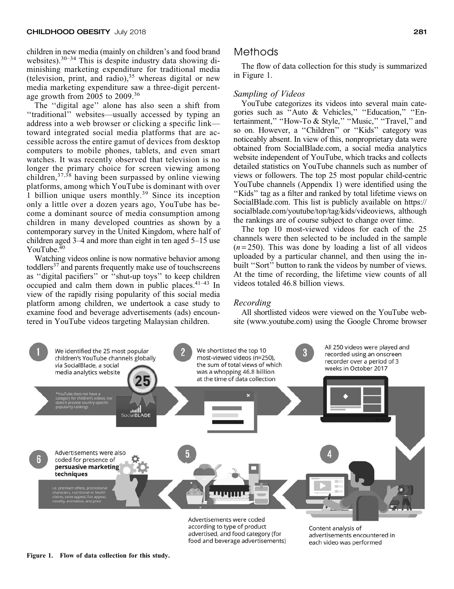children in new media (mainly on children's and food brand websites). $30-34$  This is despite industry data showing diminishing marketing expenditure for traditional media (television, print, and radio),<sup>35</sup> whereas digital or new media marketing expenditure saw a three-digit percentage growth from 2005 to 2009.<sup>36</sup>

The ''digital age'' alone has also seen a shift from ''traditional'' websites—usually accessed by typing an address into a web browser or clicking a specific link toward integrated social media platforms that are accessible across the entire gamut of devices from desktop computers to mobile phones, tablets, and even smart watches. It was recently observed that television is no longer the primary choice for screen viewing among children,37,38 having been surpassed by online viewing platforms, among which YouTube is dominant with over 1 billion unique users monthly.<sup>39</sup> Since its inception only a little over a dozen years ago, YouTube has become a dominant source of media consumption among children in many developed countries as shown by a contemporary survey in the United Kingdom, where half of children aged 3–4 and more than eight in ten aged 5–15 use YouTube.<sup>40</sup>

Watching videos online is now normative behavior among toddlers<sup>37</sup> and parents frequently make use of touchscreens as ''digital pacifiers'' or ''shut-up toys'' to keep children occupied and calm them down in public places. $41-43$  In view of the rapidly rising popularity of this social media platform among children, we undertook a case study to examine food and beverage advertisements (ads) encountered in YouTube videos targeting Malaysian children.

## Methods

The flow of data collection for this study is summarized in Figure 1.

#### Sampling of Videos

YouTube categorizes its videos into several main categories such as ''Auto & Vehicles,'' ''Education,'' ''Entertainment," "How-To & Style," "Music," "Travel," and so on. However, a "Children" or "Kids" category was noticeably absent. In view of this, nonproprietary data were obtained from SocialBlade.com, a social media analytics website independent of YouTube, which tracks and collects detailed statistics on YouTube channels such as number of views or followers. The top 25 most popular child-centric YouTube channels (Appendix 1) were identified using the ''Kids'' tag as a filter and ranked by total lifetime views on SocialBlade.com. This list is publicly available on https:// socialblade.com/youtube/top/tag/kids/videoviews, although the rankings are of course subject to change over time.

The top 10 most-viewed videos for each of the 25 channels were then selected to be included in the sample  $(n=250)$ . This was done by loading a list of all videos uploaded by a particular channel, and then using the inbuilt ''Sort'' button to rank the videos by number of views. At the time of recording, the lifetime view counts of all videos totaled 46.8 billion views.

#### Recording

All shortlisted videos were viewed on the YouTube website (www.youtube.com) using the Google Chrome browser



advertised, and food category (for food and beverage advertisements) advertisements encountered in each video was performed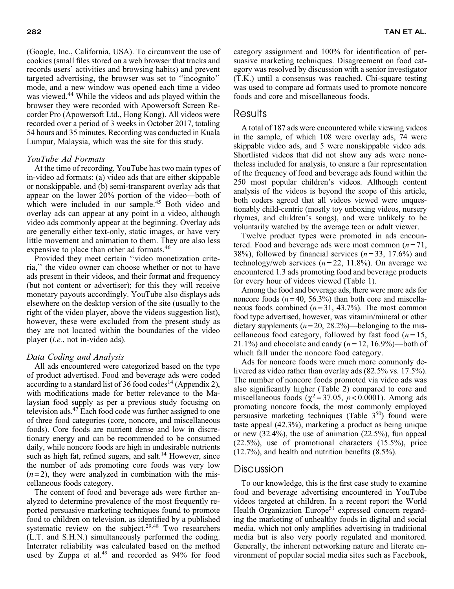(Google, Inc., California, USA). To circumvent the use of cookies (small files stored on a web browser that tracks and records users' activities and browsing habits) and prevent targeted advertising, the browser was set to ''incognito'' mode, and a new window was opened each time a video was viewed.<sup>44</sup> While the videos and ads played within the browser they were recorded with Apowersoft Screen Recorder Pro (Apowersoft Ltd., Hong Kong). All videos were recorded over a period of 3 weeks in October 2017, totaling 54 hours and 35 minutes. Recording was conducted in Kuala Lumpur, Malaysia, which was the site for this study.

#### YouTube Ad Formats

At the time of recording, YouTube has two main types of in-video ad formats: (a) video ads that are either skippable or nonskippable, and (b) semi-transparent overlay ads that appear on the lower 20% portion of the video—both of which were included in our sample.<sup>45</sup> Both video and overlay ads can appear at any point in a video, although video ads commonly appear at the beginning. Overlay ads are generally either text-only, static images, or have very little movement and animation to them. They are also less expensive to place than other ad formats.<sup>46</sup>

Provided they meet certain ''video monetization criteria,'' the video owner can choose whether or not to have ads present in their videos, and their format and frequency (but not content or advertiser); for this they will receive monetary payouts accordingly. YouTube also displays ads elsewhere on the desktop version of the site (usually to the right of the video player, above the videos suggestion list), however, these were excluded from the present study as they are not located within the boundaries of the video player (i.e., not in-video ads).

#### Data Coding and Analysis

All ads encountered were categorized based on the type of product advertised. Food and beverage ads were coded according to a standard list of 36 food codes<sup>14</sup> (Appendix 2), with modifications made for better relevance to the Malaysian food supply as per a previous study focusing on television ads.47 Each food code was further assigned to one of three food categories (core, noncore, and miscellaneous foods). Core foods are nutrient dense and low in discretionary energy and can be recommended to be consumed daily, while noncore foods are high in undesirable nutrients such as high fat, refined sugars, and salt.<sup>14</sup> However, since the number of ads promoting core foods was very low  $(n=2)$ , they were analyzed in combination with the miscellaneous foods category.

The content of food and beverage ads were further analyzed to determine prevalence of the most frequently reported persuasive marketing techniques found to promote food to children on television, as identified by a published systematic review on the subject.<sup>29,48</sup> Two researchers (L.T. and S.H.N.) simultaneously performed the coding. Interrater reliability was calculated based on the method used by Zuppa et al.<sup>49</sup> and recorded as 94% for food category assignment and 100% for identification of persuasive marketing techniques. Disagreement on food category was resolved by discussion with a senior investigator (T.K.) until a consensus was reached. Chi-square testing was used to compare ad formats used to promote noncore foods and core and miscellaneous foods.

## **Results**

A total of 187 ads were encountered while viewing videos in the sample, of which 108 were overlay ads, 74 were skippable video ads, and 5 were nonskippable video ads. Shortlisted videos that did not show any ads were nonetheless included for analysis, to ensure a fair representation of the frequency of food and beverage ads found within the 250 most popular children's videos. Although content analysis of the videos is beyond the scope of this article, both coders agreed that all videos viewed were unquestionably child-centric (mostly toy unboxing videos, nursery rhymes, and children's songs), and were unlikely to be voluntarily watched by the average teen or adult viewer.

Twelve product types were promoted in ads encountered. Food and beverage ads were most common  $(n=71,$ 38%), followed by financial services  $(n=33, 17.6\%)$  and technology/web services  $(n=22, 11.8\%)$ . On average we encountered 1.3 ads promoting food and beverage products for every hour of videos viewed (Table 1).

Among the food and beverage ads, there were more ads for noncore foods  $(n=40, 56.3%)$  than both core and miscellaneous foods combined  $(n=31, 43.7%)$ . The most common food type advertised, however, was vitamin/mineral or other dietary supplements  $(n=20, 28.2%)$ —belonging to the miscellaneous food category, followed by fast food  $(n = 15,$ 21.1%) and chocolate and candy  $(n = 12, 16.9\%)$ —both of which fall under the noncore food category.

Ads for noncore foods were much more commonly delivered as video rather than overlay ads (82.5% vs. 17.5%). The number of noncore foods promoted via video ads was also significantly higher (Table 2) compared to core and miscellaneous foods  $(\chi^2 = 37.05, p < 0.0001)$ . Among ads promoting noncore foods, the most commonly employed persuasive marketing techniques (Table  $3<sup>50</sup>$ ) found were taste appeal (42.3%), marketing a product as being unique or new (32.4%), the use of animation (22.5%), fun appeal (22.5%), use of promotional characters (15.5%), price (12.7%), and health and nutrition benefits (8.5%).

#### Discussion

To our knowledge, this is the first case study to examine food and beverage advertising encountered in YouTube videos targeted at children. In a recent report the World Health Organization Europe<sup>51</sup> expressed concern regarding the marketing of unhealthy foods in digital and social media, which not only amplifies advertising in traditional media but is also very poorly regulated and monitored. Generally, the inherent networking nature and literate environment of popular social media sites such as Facebook,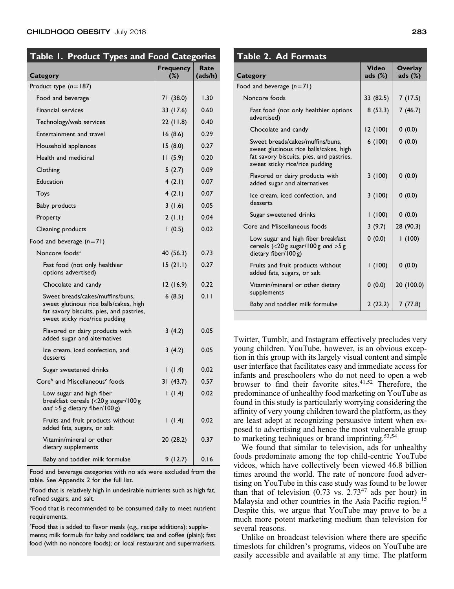| Table 1. Product Types and Food Categories                                                                                                               |                            |                 |
|----------------------------------------------------------------------------------------------------------------------------------------------------------|----------------------------|-----------------|
| <b>Category</b>                                                                                                                                          | <b>Frequency</b><br>$(\%)$ | Rate<br>(ads/h) |
| Product type $(n=187)$                                                                                                                                   |                            |                 |
| Food and beverage                                                                                                                                        | 71 (38.0)                  | 1.30            |
| <b>Financial services</b>                                                                                                                                | 33 (17.6)                  | 0.60            |
| Technology/web services                                                                                                                                  | 22(11.8)                   | 0.40            |
| Entertainment and travel                                                                                                                                 | 16(8.6)                    | 0.29            |
| Household appliances                                                                                                                                     | 15(8.0)                    | 0.27            |
| Health and medicinal                                                                                                                                     | 11(5.9)                    | 0.20            |
| Clothing                                                                                                                                                 | 5(2.7)                     | 0.09            |
| Education                                                                                                                                                | 4(2.1)                     | 0.07            |
| Toys                                                                                                                                                     | 4(2.1)                     | 0.07            |
| <b>Baby products</b>                                                                                                                                     | 3(1.6)                     | 0.05            |
| Property                                                                                                                                                 | 2(1.1)                     | 0.04            |
| Cleaning products                                                                                                                                        | 1(0.5)                     | 0.02            |
| Food and beverage $(n=71)$                                                                                                                               |                            |                 |
| Noncore foods <sup>a</sup>                                                                                                                               | 40 (56.3)                  | 0.73            |
| Fast food (not only healthier<br>options advertised)                                                                                                     | 15(21.1)                   | 0.27            |
| Chocolate and candy                                                                                                                                      | 12(16.9)                   | 0.22            |
| Sweet breads/cakes/muffins/buns,<br>sweet glutinous rice balls/cakes, high<br>fat savory biscuits, pies, and pastries,<br>sweet sticky rice/rice pudding | 6(8.5)                     | 0.11            |
| Flavored or dairy products with<br>added sugar and alternatives                                                                                          | 3(4.2)                     | 0.05            |
| Ice cream, iced confection, and<br>desserts                                                                                                              | 3(4.2)                     | 0.05            |
| Sugar sweetened drinks                                                                                                                                   | 1(1.4)                     | 0.02            |
| Core <sup>b</sup> and Miscellaneous <sup>c</sup> foods                                                                                                   | 31(43.7)                   | 0.57            |
| Low sugar and high fiber<br>breakfast cereals (<20 g sugar/100 g<br>and $>5$ g dietary fiber/100 g)                                                      | 1(1.4)                     | 0.02            |
| Fruits and fruit products without<br>added fats, sugars, or salt                                                                                         | 1(1.4)                     | 0.02            |
| Vitamin/mineral or other<br>dietary supplements                                                                                                          | 20 (28.2)                  | 0.37            |
| Baby and toddler milk formulae                                                                                                                           | 9(12.7)                    | 0.16            |

Food and beverage categories with no ads were excluded from the table. See Appendix 2 for the full list.

<sup>a</sup>Food that is relatively high in undesirable nutrients such as high fat, refined sugars, and salt.

**bFood that is recommended to be consumed daily to meet nutrient** requirements.

c Food that is added to flavor meals (e.g., recipe additions); supplements; milk formula for baby and toddlers; tea and coffee (plain); fast food (with no noncore foods); or local restaurant and supermarkets.

## Table 2. Ad Formats

| Category                                                                                                                                                 | Video<br>ads $(%)$ | <b>Overlay</b><br>ads $(\%)$ |
|----------------------------------------------------------------------------------------------------------------------------------------------------------|--------------------|------------------------------|
| Food and beverage $(n=71)$                                                                                                                               |                    |                              |
| Noncore foods                                                                                                                                            | 33 (82.5)          | 7 (17.5)                     |
| Fast food (not only healthier options<br>advertised)                                                                                                     | 8(53.3)            | 7(46.7)                      |
| Chocolate and candy                                                                                                                                      | 12 (100)           | 0(0.0)                       |
| Sweet breads/cakes/muffins/buns.<br>sweet glutinous rice balls/cakes, high<br>fat savory biscuits, pies, and pastries,<br>sweet sticky rice/rice pudding | 6(100)             | 0(0.0)                       |
| Flavored or dairy products with<br>added sugar and alternatives                                                                                          | 3(100)             | 0(0.0)                       |
| Ice cream, iced confection, and<br>desserts                                                                                                              | 3(100)             | 0(0.0)                       |
| Sugar sweetened drinks                                                                                                                                   | 1(100)             | 0(0.0)                       |
| Core and Miscellaneous foods                                                                                                                             | 3(9.7)             | 28 (90.3)                    |
| Low sugar and high fiber breakfast<br>cereals $(<$ 20 g sugar/100 g and $>$ 5 g<br>dietary fiber/100 g)                                                  | 0(0.0)             | 1(100)                       |
| Fruits and fruit products without<br>added fats, sugars, or salt                                                                                         | 1(100)             | 0(0.0)                       |
| Vitamin/mineral or other dietary<br>supplements                                                                                                          | 0(0.0)             | 20 (100.0)                   |
| Baby and toddler milk formulae                                                                                                                           | 2(22.2)            | 7(77.8)                      |

Twitter, Tumblr, and Instagram effectively precludes very young children. YouTube, however, is an obvious exception in this group with its largely visual content and simple user interface that facilitates easy and immediate access for infants and preschoolers who do not need to open a web browser to find their favorite sites. $41,52$  Therefore, the predominance of unhealthy food marketing on YouTube as found in this study is particularly worrying considering the affinity of very young children toward the platform, as they are least adept at recognizing persuasive intent when exposed to advertising and hence the most vulnerable group to marketing techniques or brand imprinting.<sup>53,54</sup>

We found that similar to television, ads for unhealthy foods predominate among the top child-centric YouTube videos, which have collectively been viewed 46.8 billion times around the world. The rate of noncore food advertising on YouTube in this case study was found to be lower than that of television  $(0.73 \text{ vs. } 2.73^{47} \text{ ads per hour})$  in Malaysia and other countries in the Asia Pacific region.<sup>15</sup> Despite this, we argue that YouTube may prove to be a much more potent marketing medium than television for several reasons.

Unlike on broadcast television where there are specific timeslots for children's programs, videos on YouTube are easily accessible and available at any time. The platform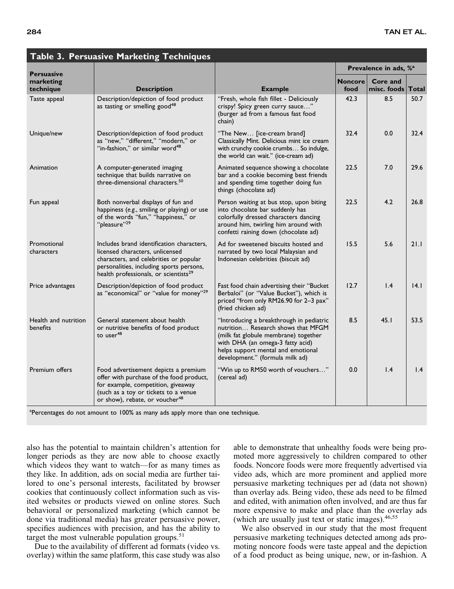| <b>Persuasive</b>                | $\frac{1}{2}$ abic 3. The square T and recently<br><b>Techniques</b>                                                                                                                                                    |                                                                                                                                                                                                                                     | Prevalence in ads, % <sup>a</sup> |                         |       |
|----------------------------------|-------------------------------------------------------------------------------------------------------------------------------------------------------------------------------------------------------------------------|-------------------------------------------------------------------------------------------------------------------------------------------------------------------------------------------------------------------------------------|-----------------------------------|-------------------------|-------|
| marketing<br>technique           | <b>Description</b>                                                                                                                                                                                                      | <b>Example</b>                                                                                                                                                                                                                      | <b>Noncore</b><br>food            | Core and<br>misc. foods | Total |
| Taste appeal                     | Description/depiction of food product<br>as tasting or smelling good <sup>48</sup>                                                                                                                                      | "Fresh, whole fish fillet - Deliciously<br>crispy! Spicy green curry sauce"<br>(burger ad from a famous fast food<br>chain)                                                                                                         | 42.3                              | 8.5                     | 50.7  |
| Unique/new                       | Description/depiction of food product<br>as "new," "different," "modern," or<br>"in-fashion," or similar word <sup>48</sup>                                                                                             | "The New [ice-cream brand]<br>Classically Mint. Delicious mint ice cream<br>with crunchy cookie crumbs So indulge,<br>the world can wait." (ice-cream ad)                                                                           | 32.4                              | 0.0                     | 32.4  |
| Animation                        | A computer-generated imaging<br>technique that builds narrative on<br>three-dimensional characters. <sup>50</sup>                                                                                                       | Animated sequence showing a chocolate<br>bar and a cookie becoming best friends<br>and spending time together doing fun<br>things (chocolate ad)                                                                                    | 22.5                              | 7.0                     | 29.6  |
| Fun appeal                       | Both nonverbal displays of fun and<br>happiness (e.g., smiling or playing) or use<br>of the words "fun," "happiness," or<br>"pleasure" <sup>29</sup>                                                                    | Person waiting at bus stop, upon biting<br>into chocolate bar suddenly has<br>colorfully dressed characters dancing<br>around him, twirling him around with<br>confetti raining down (chocolate ad)                                 | 22.5                              | 4.2                     | 26.8  |
| Promotional<br>characters        | Includes brand identification characters,<br>licensed characters, unlicensed<br>characters, and celebrities or popular<br>personalities, including sports persons,<br>health professionals, or scientists <sup>29</sup> | Ad for sweetened biscuits hosted and<br>narrated by two local Malaysian and<br>Indonesian celebrities (biscuit ad)                                                                                                                  | 15.5                              | 5.6                     | 21.1  |
| Price advantages                 | Description/depiction of food product<br>as "economical" or "value for money"29                                                                                                                                         | Fast food chain advertising their "Bucket<br>Berbaloi" (or "Value Bucket"), which is<br>priced "from only RM26.90 for 2-3 pax"<br>(fried chicken ad)                                                                                | 12.7                              | 1.4                     | 14.1  |
| Health and nutrition<br>benefits | General statement about health<br>or nutritive benefits of food product<br>to user <sup>48</sup>                                                                                                                        | "Introducing a breakthrough in pediatric<br>nutrition Research shows that MFGM<br>(milk fat globule membrane) together<br>with DHA (an omega-3 fatty acid)<br>helps support mental and emotional<br>development." (formula milk ad) | 8.5                               | 45.1                    | 53.5  |
| Premium offers                   | Food advertisement depicts a premium<br>offer with purchase of the food product,<br>for example, competition, giveaway<br>(such as a toy or tickets to a venue<br>or show), rebate, or voucher <sup>48</sup>            | "Win up to RM50 worth of vouchers"<br>(cereal ad)                                                                                                                                                                                   | 0.0                               | 1.4                     | 1.4   |

## Table 3. Persuasive Marketing Techniques

<sup>a</sup>Percentages do not amount to 100% as many ads apply more than one technique.

also has the potential to maintain children's attention for longer periods as they are now able to choose exactly which videos they want to watch—for as many times as they like. In addition, ads on social media are further tailored to one's personal interests, facilitated by browser cookies that continuously collect information such as visited websites or products viewed on online stores. Such behavioral or personalized marketing (which cannot be done via traditional media) has greater persuasive power, specifies audiences with precision, and has the ability to target the most vulnerable population groups. $51$ 

Due to the availability of different ad formats (video vs. overlay) within the same platform, this case study was also able to demonstrate that unhealthy foods were being promoted more aggressively to children compared to other foods. Noncore foods were more frequently advertised via video ads, which are more prominent and applied more persuasive marketing techniques per ad (data not shown) than overlay ads. Being video, these ads need to be filmed and edited, with animation often involved, and are thus far more expensive to make and place than the overlay ads (which are usually just text or static images).<sup>46,55</sup>

We also observed in our study that the most frequent persuasive marketing techniques detected among ads promoting noncore foods were taste appeal and the depiction of a food product as being unique, new, or in-fashion. A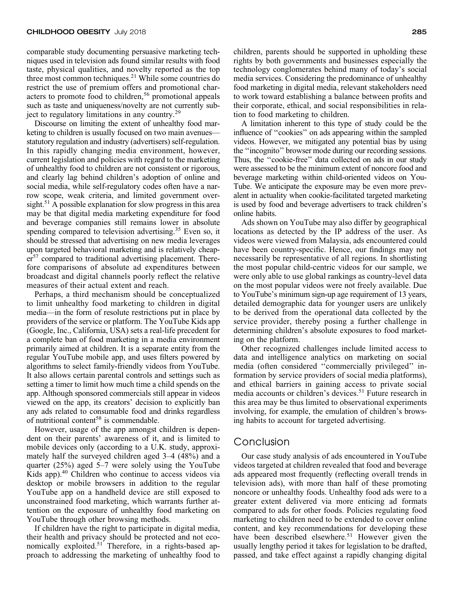comparable study documenting persuasive marketing techniques used in television ads found similar results with food taste, physical qualities, and novelty reported as the top three most common techniques.<sup>21</sup> While some countries do restrict the use of premium offers and promotional characters to promote food to children,<sup>56</sup> promotional appeals such as taste and uniqueness/novelty are not currently subject to regulatory limitations in any country.<sup>29</sup>

Discourse on limiting the extent of unhealthy food marketing to children is usually focused on two main avenues statutory regulation and industry (advertisers) self-regulation. In this rapidly changing media environment, however, current legislation and policies with regard to the marketing of unhealthy food to children are not consistent or rigorous, and clearly lag behind children's adoption of online and social media, while self-regulatory codes often have a narrow scope, weak criteria, and limited government oversight.<sup>51</sup> A possible explanation for slow progress in this area may be that digital media marketing expenditure for food and beverage companies still remains lower in absolute spending compared to television advertising.<sup>35</sup> Even so, it should be stressed that advertising on new media leverages upon targeted behavioral marketing and is relatively cheap $er<sup>57</sup>$  compared to traditional advertising placement. Therefore comparisons of absolute ad expenditures between broadcast and digital channels poorly reflect the relative measures of their actual extent and reach.

Perhaps, a third mechanism should be conceptualized to limit unhealthy food marketing to children in digital media—in the form of resolute restrictions put in place by providers of the service or platform. The YouTube Kids app (Google, Inc., California, USA) sets a real-life precedent for a complete ban of food marketing in a media environment primarily aimed at children. It is a separate entity from the regular YouTube mobile app, and uses filters powered by algorithms to select family-friendly videos from YouTube. It also allows certain parental controls and settings such as setting a timer to limit how much time a child spends on the app. Although sponsored commercials still appear in videos viewed on the app, its creators' decision to explicitly ban any ads related to consumable food and drinks regardless of nutritional content<sup>58</sup> is commendable.

However, usage of the app amongst children is dependent on their parents' awareness of it, and is limited to mobile devices only (according to a U.K. study, approximately half the surveyed children aged 3–4 (48%) and a quarter (25%) aged 5–7 were solely using the YouTube Kids app).<sup>40</sup> Children who continue to access videos via desktop or mobile browsers in addition to the regular YouTube app on a handheld device are still exposed to unconstrained food marketing, which warrants further attention on the exposure of unhealthy food marketing on YouTube through other browsing methods.

If children have the right to participate in digital media, their health and privacy should be protected and not economically exploited.<sup>51</sup> Therefore, in a rights-based approach to addressing the marketing of unhealthy food to children, parents should be supported in upholding these rights by both governments and businesses especially the technology conglomerates behind many of today's social media services. Considering the predominance of unhealthy food marketing in digital media, relevant stakeholders need to work toward establishing a balance between profits and their corporate, ethical, and social responsibilities in relation to food marketing to children.

A limitation inherent to this type of study could be the influence of ''cookies'' on ads appearing within the sampled videos. However, we mitigated any potential bias by using the ''incognito'' browser mode during our recording sessions. Thus, the ''cookie-free'' data collected on ads in our study were assessed to be the minimum extent of noncore food and beverage marketing within child-oriented videos on You-Tube. We anticipate the exposure may be even more prevalent in actuality when cookie-facilitated targeted marketing is used by food and beverage advertisers to track children's online habits.

Ads shown on YouTube may also differ by geographical locations as detected by the IP address of the user. As videos were viewed from Malaysia, ads encountered could have been country-specific. Hence, our findings may not necessarily be representative of all regions. In shortlisting the most popular child-centric videos for our sample, we were only able to use global rankings as country-level data on the most popular videos were not freely available. Due to YouTube's minimum sign-up age requirement of 13 years, detailed demographic data for younger users are unlikely to be derived from the operational data collected by the service provider, thereby posing a further challenge in determining children's absolute exposures to food marketing on the platform.

Other recognized challenges include limited access to data and intelligence analytics on marketing on social media (often considered ''commercially privileged'' information by service providers of social media platforms), and ethical barriers in gaining access to private social media accounts or children's devices.<sup>51</sup> Future research in this area may be thus limited to observational experiments involving, for example, the emulation of children's browsing habits to account for targeted advertising.

### Conclusion

Our case study analysis of ads encountered in YouTube videos targeted at children revealed that food and beverage ads appeared most frequently (reflecting overall trends in television ads), with more than half of these promoting noncore or unhealthy foods. Unhealthy food ads were to a greater extent delivered via more enticing ad formats compared to ads for other foods. Policies regulating food marketing to children need to be extended to cover online content, and key recommendations for developing these have been described elsewhere.<sup>51</sup> However given the usually lengthy period it takes for legislation to be drafted, passed, and take effect against a rapidly changing digital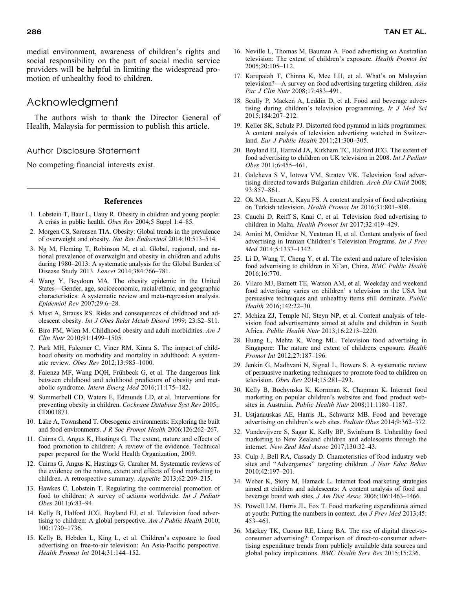medial environment, awareness of children's rights and social responsibility on the part of social media service providers will be helpful in limiting the widespread promotion of unhealthy food to children.

## Acknowledgment

The authors wish to thank the Director General of Health, Malaysia for permission to publish this article.

#### Author Disclosure Statement

No competing financial interests exist.

#### References

- 1. Lobstein T, Baur L, Uauy R. Obesity in children and young people: A crisis in public health. Obes Rev 2004;5 Suppl 1:4–85.
- 2. Morgen CS, Sørensen TIA. Obesity: Global trends in the prevalence of overweight and obesity. Nat Rev Endocrinol 2014;10:513–514.
- 3. Ng M, Fleming T, Robinson M, et al. Global, regional, and national prevalence of overweight and obesity in children and adults during 1980–2013: A systematic analysis for the Global Burden of Disease Study 2013. Lancet 2014;384:766–781.
- 4. Wang Y, Beydoun MA. The obesity epidemic in the United States—Gender, age, socioeconomic, racial/ethnic, and geographic characteristics: A systematic review and meta-regression analysis. Epidemiol Rev 2007;29:6–28.
- 5. Must A, Strauss RS. Risks and consequences of childhood and adolescent obesity. Int J Obes Relat Metab Disord 1999; 23:S2–S11.
- 6. Biro FM, Wien M. Childhood obesity and adult morbidities.  $AmJ$ Clin Nutr 2010;91:1499–1505.
- 7. Park MH, Falconer C, Viner RM, Kinra S. The impact of childhood obesity on morbidity and mortality in adulthood: A systematic review. Obes Rev 2012;13:985–1000.
- 8. Faienza MF, Wang DQH, Frühbeck G, et al. The dangerous link between childhood and adulthood predictors of obesity and metabolic syndrome. Intern Emerg Med 2016;11:175–182.
- 9. Summerbell CD, Waters E, Edmunds LD, et al. Interventions for preventing obesity in children. Cochrane Database Syst Rev 2005;: CD001871.
- 10. Lake A, Townshend T. Obesogenic environments: Exploring the built and food environments. J R Soc Promot Health 2006;126:262–267.
- 11. Cairns G, Angus K, Hastings G. The extent, nature and effects of food promotion to children: A review of the evidence. Technical paper prepared for the World Health Organization, 2009.
- 12. Cairns G, Angus K, Hastings G, Caraher M. Systematic reviews of the evidence on the nature, extent and effects of food marketing to children. A retrospective summary. Appetite 2013;62:209–215.
- 13. Hawkes C, Lobstein T. Regulating the commercial promotion of food to children: A survey of actions worldwide. Int J Pediatr Obes 2011;6:83–94.
- 14. Kelly B, Halford JCG, Boyland EJ, et al. Television food advertising to children: A global perspective. Am J Public Health 2010; 100:1730–1736.
- 15. Kelly B, Hebden L, King L, et al. Children's exposure to food advertising on free-to-air television: An Asia-Pacific perspective. Health Promot Int 2014;31:144–152.
- 16. Neville L, Thomas M, Bauman A. Food advertising on Australian television: The extent of children's exposure. Health Promot Int 2005;20:105–112.
- 17. Karupaiah T, Chinna K, Mee LH, et al. What's on Malaysian television?—A survey on food advertising targeting children. Asia Pac J Clin Nutr 2008;17:483–491.
- 18. Scully P, Macken A, Leddin D, et al. Food and beverage advertising during children's television programming. Ir J Med Sci 2015;184:207–212.
- 19. Keller SK, Schulz PJ. Distorted food pyramid in kids programmes: A content analysis of television advertising watched in Switzerland. Eur J Public Health 2011;21:300–305.
- 20. Boyland EJ, Harrold JA, Kirkham TC, Halford JCG. The extent of food advertising to children on UK television in 2008. Int J Pediatr Obes 2011;6:455–461.
- 21. Galcheva S V, Iotova VM, Stratev VK. Television food advertising directed towards Bulgarian children. Arch Dis Child 2008; 93:857–861.
- 22. Ok MA, Ercan A, Kaya FS. A content analysis of food advertising on Turkish television. Health Promot Int 2016;31:801–808.
- 23. Cauchi D, Reiff S, Knai C, et al. Television food advertising to children in Malta. Health Promot Int 2017;32:419–429.
- 24. Amini M, Omidvar N, Yeatman H, et al. Content analysis of food advertising in Iranian Children's Television Programs. Int J Prev Med 2014;5:1337–1342.
- 25. Li D, Wang T, Cheng Y, et al. The extent and nature of television food advertising to children in Xi'an, China. BMC Public Health 2016;16:770.
- 26. Vilaro MJ, Barnett TE, Watson AM, et al. Weekday and weekend food advertising varies on children' s television in the USA but persuasive techniques and unhealthy items still dominate. Public Health 2016;142:22–30.
- 27. Mchiza ZJ, Temple NJ, Steyn NP, et al. Content analysis of television food advertisements aimed at adults and children in South Africa. Public Health Nutr 2013;16:2213–2220.
- 28. Huang L, Mehta K, Wong ML. Television food advertising in Singapore: The nature and extent of childrens exposure. Health Promot Int 2012;27:187–196.
- 29. Jenkin G, Madhvani N, Signal L, Bowers S. A systematic review of persuasive marketing techniques to promote food to children on television. Obes Rev 2014;15:281–293.
- 30. Kelly B, Bochynska K, Kornman K, Chapman K. Internet food marketing on popular children's websites and food product websites in Australia. Public Health Nutr 2008;11:1180–1187.
- 31. Ustjanauskas AE, Harris JL, Schwartz MB. Food and beverage advertising on children's web sites. Pediatr Obes 2014;9:362–372.
- 32. Vandevijvere S, Sagar K, Kelly BP, Swinburn B. Unhealthy food marketing to New Zealand children and adolescents through the internet. New Zeal Med Assoc 2017;130:32–43.
- 33. Culp J, Bell RA, Cassady D. Characteristics of food industry web sites and "Advergames" targeting children. J Nutr Educ Behav 2010;42:197–201.
- 34. Weber K, Story M, Harnack L. Internet food marketing strategies aimed at children and adolescents: A content analysis of food and beverage brand web sites. J Am Diet Assoc 2006;106:1463–1466.
- 35. Powell LM, Harris JL, Fox T. Food marketing expenditures aimed at youth: Putting the numbers in context. Am J Prev Med 2013;45: 453–461.
- 36. Mackey TK, Cuomo RE, Liang BA. The rise of digital direct-toconsumer advertising?: Comparison of direct-to-consumer advertising expenditure trends from publicly available data sources and global policy implications. BMC Health Serv Res 2015;15:236.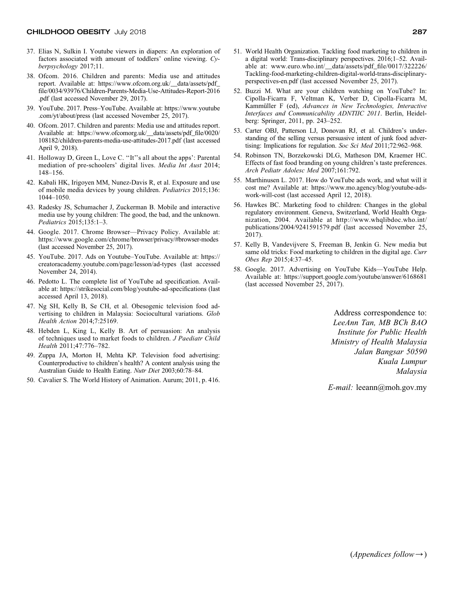- 37. Elias N, Sulkin I. Youtube viewers in diapers: An exploration of factors associated with amount of toddlers' online viewing. Cyberpsychology 2017;11.
- 38. Ofcom. 2016. Children and parents: Media use and attitudes report. Available at: https://www.ofcom.org.uk/\_\_data/assets/pdf\_ file/0034/93976/Children-Parents-Media-Use-Attitudes-Report-2016 .pdf (last accessed November 29, 2017).
- 39. YouTube. 2017. Press–YouTube. Available at: https://www.youtube .com/yt/about/press (last accessed November 25, 2017).
- 40. Ofcom. 2017. Children and parents: Media use and attitudes report. Available at: https://www.ofcomorg.uk/\_\_data/assets/pdf\_file/0020/ 108182/children-parents-media-use-attitudes-2017.pdf (last accessed April 9, 2018).
- 41. Holloway D, Green L, Love C. ''It''s all about the apps': Parental mediation of pre-schoolers' digital lives. Media Int Aust 2014; 148–156.
- 42. Kabali HK, Irigoyen MM, Nunez-Davis R, et al. Exposure and use of mobile media devices by young children. Pediatrics 2015;136: 1044–1050.
- 43. Radesky JS, Schumacher J, Zuckerman B. Mobile and interactive media use by young children: The good, the bad, and the unknown. Pediatrics 2015;135:1–3.
- 44. Google. 2017. Chrome Browser—Privacy Policy. Available at: https://www.google.com/chrome/browser/privacy/#browser-modes (last accessed November 25, 2017).
- 45. YouTube. 2017. Ads on Youtube–YouTube. Available at: https:// creatoracademy.youtube.com/page/lesson/ad-types (last accessed November 24, 2014).
- 46. Pedotto L. The complete list of YouTube ad specification. Available at: https://strikesocial.com/blog/youtube-ad-specifications (last accessed April 13, 2018).
- 47. Ng SH, Kelly B, Se CH, et al. Obesogenic television food advertising to children in Malaysia: Sociocultural variations. Glob Health Action 2014;7:25169.
- 48. Hebden L, King L, Kelly B. Art of persuasion: An analysis of techniques used to market foods to children. J Paediatr Child Health 2011;47:776–782.
- 49. Zuppa JA, Morton H, Mehta KP. Television food advertising: Counterproductive to children's health? A content analysis using the Australian Guide to Health Eating. Nutr Diet 2003;60:78–84.
- 50. Cavalier S. The World History of Animation. Aurum; 2011, p. 416.
- 51. World Health Organization. Tackling food marketing to children in a digital world: Trans-disciplinary perspectives. 2016;1–52. Available at: www.euro.who.int/\_\_data/assets/pdf\_file/0017/322226/ Tackling-food-marketing-children-digital-world-trans-disciplinaryperspectives-en.pdf (last accessed November 25, 2017).
- 52. Buzzi M. What are your children watching on YouTube? In: Cipolla-Ficarra F, Veltman K, Verber D, Cipolla-Ficarra M, Kammüller F (ed), Advances in New Technologies, Interactive Interfaces and Communicability ADNTIIC 2011. Berlin, Heidelberg: Springer, 2011, pp. 243–252.
- 53. Carter OBJ, Patterson LJ, Donovan RJ, et al. Children's understanding of the selling versus persuasive intent of junk food advertising: Implications for regulation. Soc Sci Med 2011;72:962–968.
- 54. Robinson TN, Borzekowski DLG, Matheson DM, Kraemer HC. Effects of fast food branding on young children's taste preferences. Arch Pediatr Adolesc Med 2007;161:792.
- 55. Marthinusen L. 2017. How do YouTube ads work, and what will it cost me? Available at: https://www.mo.agency/blog/youtube-adswork-will-cost (last accessed April 12, 2018).
- 56. Hawkes BC. Marketing food to children: Changes in the global regulatory environment. Geneva, Switzerland, World Health Organization, 2004. Available at http://www.whqlibdoc.who.int/ publications/2004/9241591579.pdf (last accessed November 25, 2017).
- 57. Kelly B, Vandevijvere S, Freeman B, Jenkin G. New media but same old tricks: Food marketing to children in the digital age. Curr Obes Rep 2015;4:37–45.
- 58. Google. 2017. Advertising on YouTube Kids—YouTube Help. Available at: https://support.google.com/youtube/answer/6168681 (last accessed November 25, 2017).

Address correspondence to: LeeAnn Tan, MB BCh BAO Institute for Public Health Ministry of Health Malaysia Jalan Bangsar 50590 Kuala Lumpur Malaysia

E-mail: leeann@moh.gov.my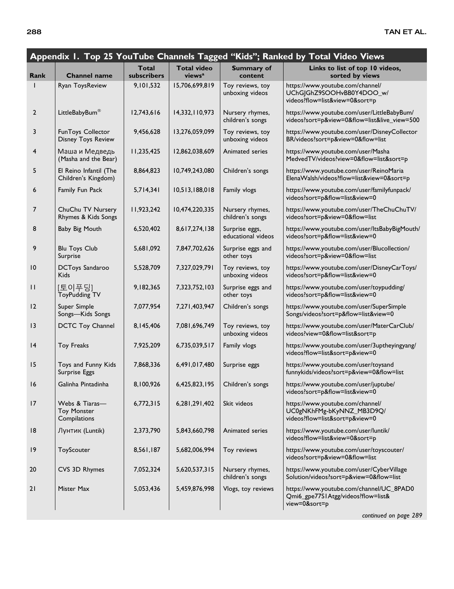| Appendix 1. Top 25 YouTube Channels Tagged "Kids"; Ranked by Total Video Views |                                                      |                             |                                          |                                      |                                                                                                 |
|--------------------------------------------------------------------------------|------------------------------------------------------|-----------------------------|------------------------------------------|--------------------------------------|-------------------------------------------------------------------------------------------------|
| Rank                                                                           | <b>Channel name</b>                                  | <b>Total</b><br>subscribers | <b>Total video</b><br>views <sup>a</sup> | <b>Summary of</b><br>content         | Links to list of top 10 videos,<br>sorted by views                                              |
|                                                                                | Ryan ToysReview                                      | 9,101,532                   | 15,706,699,819                           | Toy reviews, toy<br>unboxing videos  | https://www.youtube.com/channel/<br>UChG GhZ9SOOHvBB0Y4DOO_w/<br>videos?flow=list&view=0&sort=p |
| 2                                                                              | LittleBabyBum®                                       | 12,743,616                  | 14,332,110,973                           | Nursery rhymes,<br>children's songs  | https://www.youtube.com/user/LittleBabyBum/<br>videos?sort=p&view=0&flow=list&live_view=500     |
| 3                                                                              | FunToys Collector<br><b>Disney Toys Review</b>       | 9,456,628                   | 13,276,059,099                           | Toy reviews, toy<br>unboxing videos  | https://www.youtube.com/user/DisneyCollector<br>BR/videos?sort=p&view=0&flow=list               |
| 4                                                                              | Маша и Медведь<br>(Masha and the Bear)               | 11,235,425                  | 12,862,038,609                           | Animated series                      | https://www.youtube.com/user/Masha<br>MedvedTV/videos?view=0&flow=list&sort=p                   |
| 5                                                                              | El Reino Infantil (The<br>Children's Kingdom)        | 8,864,823                   | 10,749,243,080                           | Children's songs                     | https://www.youtube.com/user/ReinoMaria<br>ElenaWalsh/videos?flow=list&view=0&sort=p            |
| 6                                                                              | Family Fun Pack                                      | 5,714,341                   | 10,513,188,018                           | Family vlogs                         | https://www.youtube.com/user/familyfunpack/<br>videos?sort=p&flow=list&view=0                   |
| 7                                                                              | ChuChu TV Nursery<br>Rhymes & Kids Songs             | 11,923,242                  | 10,474,220,335                           | Nursery rhymes,<br>children's songs  | https://www.youtube.com/user/TheChuChuTV/<br>videos?sort=p&view=0&flow=list                     |
| 8                                                                              | Baby Big Mouth                                       | 6,520,402                   | 8,617,274,138                            | Surprise eggs,<br>educational videos | https://www.youtube.com/user/ltsBabyBigMouth/<br>videos?sort=p&flow=list&view=0                 |
| 9                                                                              | <b>Blu Toys Club</b><br>Surprise                     | 5,681,092                   | 7,847,702,626                            | Surprise eggs and<br>other toys      | https://www.youtube.com/user/Blucollection/<br>videos?sort=p&view=0&flow=list                   |
| 10                                                                             | <b>DCToys Sandaroo</b><br><b>Kids</b>                | 5,528,709                   | 7,327,029,791                            | Toy reviews, toy<br>unboxing videos  | https://www.youtube.com/user/DisneyCarToys/<br>videos?sort=p&flow=list&view=0                   |
| $\mathbf{H}$                                                                   | [토이푸딩]<br><b>ToyPudding TV</b>                       | 9,182,365                   | 7,323,752,103                            | Surprise eggs and<br>other toys      | https://www.youtube.com/user/toypudding/<br>videos?sort=p&flow=list&view=0                      |
| 12                                                                             | Super Simple<br>Songs-Kids Songs                     | 7,077,954                   | 7,271,403,947                            | Children's songs                     | https://www.youtube.com/user/SuperSimple<br>Songs/videos?sort=p&flow=list&view=0                |
| $\overline{13}$                                                                | <b>DCTC Toy Channel</b>                              | 8,145,406                   | 7,081,696,749                            | Toy reviews, toy<br>unboxing videos  | https://www.youtube.com/user/MaterCarClub/<br>videos?view=0&flow=list&sort=p                    |
| 4                                                                              | <b>Toy Freaks</b>                                    | 7,925,209                   | 6,735,039,517                            | Family vlogs                         | https://www.youtube.com/user/3uptheyingyang/<br>videos?flow=list&sort=p&view=0                  |
| 15                                                                             | Toys and Funny Kids<br>Surprise Eggs                 | 7,868,336                   | 6,491,017,480                            | Surprise eggs                        | https://www.youtube.com/user/toysand<br>funnykids/videos?sort=p&view=0&flow=list                |
| 16                                                                             | Galinha Pintadinha                                   | 8,100,926                   | 6,425,823,195                            | Children's songs                     | https://www.youtube.com/user/juptube/<br>videos?sort=p&flow=list&view=0                         |
| 17                                                                             | Webs & Tiaras-<br><b>Toy Monster</b><br>Compilations | 6,772,315                   | 6,281,291,402                            | Skit videos                          | https://www.youtube.com/channel/<br>UC0gNKhFMg-bKyNNZ_MB3D9Q/<br>videos?flow=list&sort=p&view=0 |
| 8                                                                              | Лунтик (Luntik)                                      | 2,373,790                   | 5,843,660,798                            | Animated series                      | https://www.youtube.com/user/luntik/<br>videos?flow=list&view=0&sort=p                          |
| 9                                                                              | ToyScouter                                           | 8,561,187                   | 5,682,006,994                            | Toy reviews                          | https://www.youtube.com/user/toyscouter/<br>videos?sort=p&view=0&flow=list                      |
| 20                                                                             | CVS 3D Rhymes                                        | 7,052,324                   | 5,620,537,315                            | Nursery rhymes,<br>children's songs  | https://www.youtube.com/user/CyberVillage<br>Solution/videos?sort=p&view=0&flow=list            |
| 21                                                                             | Mister Max                                           | 5,053,436                   | 5,459,876,998                            | Vlogs, toy reviews                   | https://www.youtube.com/channel/UC_8PAD0<br>Qmi6_gpe77S1Atgg/videos?flow=list&<br>view=0&sort=p |
|                                                                                |                                                      |                             |                                          |                                      | continued on page 289                                                                           |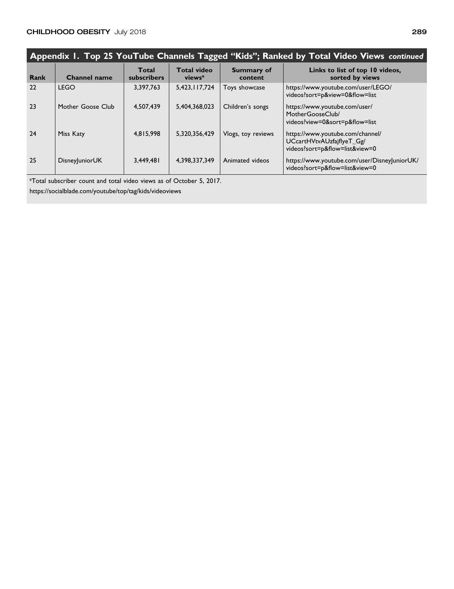| Appendix 1. Top 25 YouTube Channels Tagged "Kids"; Ranked by Total Video Views continued |                   |                      |                                          |                              |                                                                                                 |
|------------------------------------------------------------------------------------------|-------------------|----------------------|------------------------------------------|------------------------------|-------------------------------------------------------------------------------------------------|
| <b>Rank</b>                                                                              | Channel name      | Total<br>subscribers | <b>Total video</b><br>views <sup>a</sup> | <b>Summary of</b><br>content | Links to list of top 10 videos,<br>sorted by views                                              |
| 22                                                                                       | <b>LEGO</b>       | 3,397,763            | 5,423,117,724                            | Toys showcase                | https://www.youtube.com/user/LEGO/<br>videos?sort=p&view=0&flow=list                            |
| 23                                                                                       | Mother Goose Club | 4,507,439            | 5,404,368,023                            | Children's songs             | https://www.youtube.com/user/<br>MotherGooseClub/<br>videos?view=0&sort=p&flow=list             |
| 24                                                                                       | Miss Katy         | 4.815,998            | 5.320.356.429                            | Vlogs, toy reviews           | https://www.youtube.com/channel/<br>UCcartHVtvAUzfajflyeT_Gg/<br>videos?sort=p&flow=list&view=0 |
| 25                                                                                       | Disney unior UK   | 3,449,481            | 4,398,337,349                            | Animated videos              | https://www.youtube.com/user/Disney uniorUK/<br>videos?sort=p&flow=list&view=0                  |

<sup>a</sup>Total subscriber count and total video views as of October 5, 2017.

https://socialblade.com/youtube/top/tag/kids/videoviews